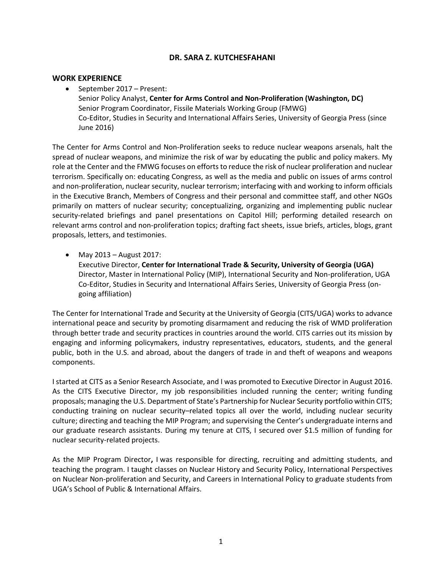### **DR. SARA Z. KUTCHESFAHANI**

#### **WORK EXPERIENCE**

• September 2017 – Present: Senior Policy Analyst, **Center for Arms Control and Non-Proliferation (Washington, DC)** Senior Program Coordinator, Fissile Materials Working Group (FMWG) Co-Editor, Studies in Security and International Affairs Series, University of Georgia Press (since June 2016)

The Center for Arms Control and Non-Proliferation seeks to reduce nuclear weapons arsenals, halt the spread of nuclear weapons, and minimize the risk of war by educating the public and policy makers. My role at the Center and the FMWG focuses on efforts to reduce the risk of nuclear proliferation and nuclear terrorism. Specifically on: educating Congress, as well as the media and public on issues of arms control and non-proliferation, nuclear security, nuclear terrorism; interfacing with and working to inform officials in the Executive Branch, Members of Congress and their personal and committee staff, and other NGOs primarily on matters of nuclear security; conceptualizing, organizing and implementing public nuclear security-related briefings and panel presentations on Capitol Hill; performing detailed research on relevant arms control and non-proliferation topics; drafting fact sheets, issue briefs, articles, blogs, grant proposals, letters, and testimonies.

• May 2013 – August 2017: Executive Director, **Center for International Trade & Security, University of Georgia (UGA)** Director, Master in International Policy (MIP), International Security and Non-proliferation, UGA Co-Editor, Studies in Security and International Affairs Series, University of Georgia Press (ongoing affiliation)

The Center for International Trade and Security at the University of Georgia (CITS/UGA) works to advance international peace and security by promoting disarmament and reducing the risk of WMD proliferation through better trade and security practices in countries around the world. CITS carries out its mission by engaging and informing policymakers, industry representatives, educators, students, and the general public, both in the U.S. and abroad, about the dangers of trade in and theft of weapons and weapons components.

I started at CITS as a Senior Research Associate, and I was promoted to Executive Director in August 2016. As the CITS Executive Director, my job responsibilities included running the center; writing funding proposals; managing the U.S. Department of State's Partnership for Nuclear Security portfolio within CITS; conducting training on nuclear security–related topics all over the world, including nuclear security culture; directing and teaching the MIP Program; and supervising the Center's undergraduate interns and our graduate research assistants. During my tenure at CITS, I secured over \$1.5 million of funding for nuclear security-related projects.

As the MIP Program Director**,** I was responsible for directing, recruiting and admitting students, and teaching the program. I taught classes on Nuclear History and Security Policy, International Perspectives on Nuclear Non-proliferation and Security, and Careers in International Policy to graduate students from UGA's School of Public & International Affairs.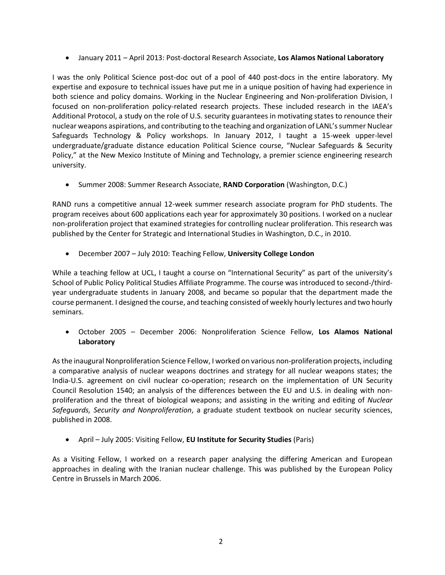• January 2011 – April 2013: Post-doctoral Research Associate, **Los Alamos National Laboratory**

I was the only Political Science post-doc out of a pool of 440 post-docs in the entire laboratory. My expertise and exposure to technical issues have put me in a unique position of having had experience in both science and policy domains. Working in the Nuclear Engineering and Non-proliferation Division, I focused on non-proliferation policy-related research projects. These included research in the IAEA's Additional Protocol, a study on the role of U.S. security guarantees in motivating states to renounce their nuclear weapons aspirations, and contributing to the teaching and organization of LANL's summer Nuclear Safeguards Technology & Policy workshops. In January 2012, I taught a 15-week upper-level undergraduate/graduate distance education Political Science course, "Nuclear Safeguards & Security Policy," at the New Mexico Institute of Mining and Technology, a premier science engineering research university.

• Summer 2008: Summer Research Associate, **RAND Corporation** (Washington, D.C.)

RAND runs a competitive annual 12-week summer research associate program for PhD students. The program receives about 600 applications each year for approximately 30 positions. I worked on a nuclear non-proliferation project that examined strategies for controlling nuclear proliferation. This research was published by the Center for Strategic and International Studies in Washington, D.C., in 2010.

• December 2007 – July 2010: Teaching Fellow, **University College London**

While a teaching fellow at UCL, I taught a course on "International Security" as part of the university's School of Public Policy Political Studies Affiliate Programme. The course was introduced to second-/thirdyear undergraduate students in January 2008, and became so popular that the department made the course permanent. I designed the course, and teaching consisted of weekly hourly lectures and two hourly seminars.

• October 2005 – December 2006: Nonproliferation Science Fellow, **Los Alamos National Laboratory**

Asthe inaugural Nonproliferation Science Fellow, I worked on various non-proliferation projects, including a comparative analysis of nuclear weapons doctrines and strategy for all nuclear weapons states; the India-U.S. agreement on civil nuclear co-operation; research on the implementation of UN Security Council Resolution 1540; an analysis of the differences between the EU and U.S. in dealing with nonproliferation and the threat of biological weapons; and assisting in the writing and editing of *Nuclear Safeguards, Security and Nonproliferation*, a graduate student textbook on nuclear security sciences, published in 2008.

• April – July 2005: Visiting Fellow, **EU Institute for Security Studies** (Paris)

As a Visiting Fellow, I worked on a research paper analysing the differing American and European approaches in dealing with the Iranian nuclear challenge. This was published by the European Policy Centre in Brussels in March 2006.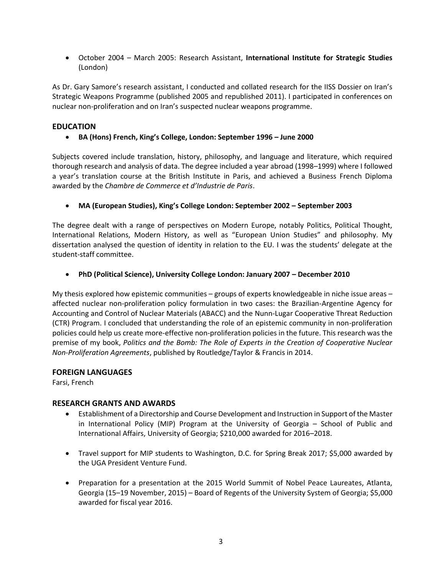• October 2004 – March 2005: Research Assistant, **International Institute for Strategic Studies**  (London)

As Dr. Gary Samore's research assistant, I conducted and collated research for the IISS Dossier on Iran's Strategic Weapons Programme (published 2005 and republished 2011). I participated in conferences on nuclear non-proliferation and on Iran's suspected nuclear weapons programme.

## **EDUCATION**

## • **BA (Hons) French, King's College, London: September 1996 – June 2000**

Subjects covered include translation, history, philosophy, and language and literature, which required thorough research and analysis of data. The degree included a year abroad (1998–1999) where I followed a year's translation course at the British Institute in Paris, and achieved a Business French Diploma awarded by the *Chambre de Commerce et d'Industrie de Paris*.

• **MA (European Studies), King's College London: September 2002 – September 2003**

The degree dealt with a range of perspectives on Modern Europe, notably Politics, Political Thought, International Relations, Modern History, as well as "European Union Studies" and philosophy. My dissertation analysed the question of identity in relation to the EU. I was the students' delegate at the student-staff committee.

### • **PhD (Political Science), University College London: January 2007 – December 2010**

My thesis explored how epistemic communities – groups of experts knowledgeable in niche issue areas – affected nuclear non-proliferation policy formulation in two cases: the Brazilian-Argentine Agency for Accounting and Control of Nuclear Materials (ABACC) and the Nunn-Lugar Cooperative Threat Reduction (CTR) Program. I concluded that understanding the role of an epistemic community in non-proliferation policies could help us create more-effective non-proliferation policies in the future. This research was the premise of my book, *Politics and the Bomb: The Role of Experts in the Creation of Cooperative Nuclear Non-Proliferation Agreements*, published by Routledge/Taylor & Francis in 2014.

### **FOREIGN LANGUAGES**

Farsi, French

### **RESEARCH GRANTS AND AWARDS**

- Establishment of a Directorship and Course Development and Instruction in Support of the Master in International Policy (MIP) Program at the University of Georgia – School of Public and International Affairs, University of Georgia; \$210,000 awarded for 2016–2018.
- Travel support for MIP students to Washington, D.C. for Spring Break 2017; \$5,000 awarded by the UGA President Venture Fund.
- Preparation for a presentation at the 2015 World Summit of Nobel Peace Laureates, Atlanta, Georgia (15–19 November, 2015) – Board of Regents of the University System of Georgia; \$5,000 awarded for fiscal year 2016.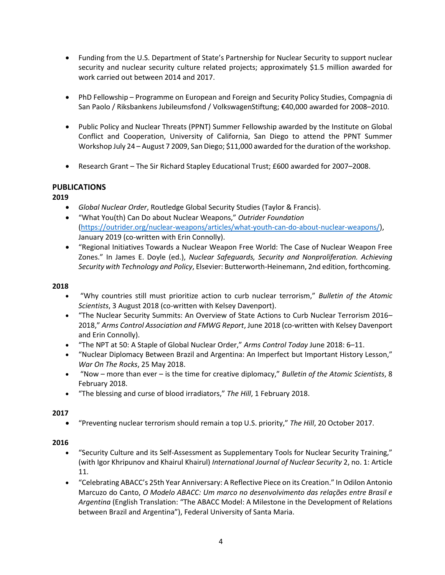- Funding from the U.S. Department of State's Partnership for Nuclear Security to support nuclear security and nuclear security culture related projects; approximately \$1.5 million awarded for work carried out between 2014 and 2017.
- PhD Fellowship Programme on European and Foreign and Security Policy Studies, Compagnia di San Paolo / Riksbankens Jubileumsfond / VolkswagenStiftung; €40,000 awarded for 2008–2010.
- Public Policy and Nuclear Threats (PPNT) Summer Fellowship awarded by the Institute on Global Conflict and Cooperation, University of California, San Diego to attend the PPNT Summer Workshop July 24 – August 7 2009, San Diego; \$11,000 awarded for the duration of the workshop.
- Research Grant The Sir Richard Stapley Educational Trust; £600 awarded for 2007–2008.

# **PUBLICATIONS**

# **2019**

- *Global Nuclear Order*, Routledge Global Security Studies (Taylor & Francis).
- "What You(th) Can Do about Nuclear Weapons," *Outrider Foundation* [\(https://outrider.org/nuclear-weapons/articles/what-youth-can-do-about-nuclear-weapons/\)](https://outrider.org/nuclear-weapons/articles/what-youth-can-do-about-nuclear-weapons/), January 2019 (co-written with Erin Connolly).
- "Regional Initiatives Towards a Nuclear Weapon Free World: The Case of Nuclear Weapon Free Zones." In James E. Doyle (ed.), *Nuclear Safeguards, Security and Nonproliferation. Achieving Security with Technology and Policy*, Elsevier: Butterworth-Heinemann, 2nd edition, forthcoming.

#### **2018**

- "Why countries still must prioritize action to curb nuclear terrorism," *Bulletin of the Atomic Scientists*, 3 August 2018 (co-written with Kelsey Davenport).
- "The Nuclear Security Summits: An Overview of State Actions to Curb Nuclear Terrorism 2016– 2018," *Arms Control Association and FMWG Report*, June 2018 (co-written with Kelsey Davenport and Erin Connolly).
- "The NPT at 50: A Staple of Global Nuclear Order," *Arms Control Today* June 2018: 6–11.
- "Nuclear Diplomacy Between Brazil and Argentina: An Imperfect but Important History Lesson," *War On The Rocks*, 25 May 2018.
- "Now more than ever is the time for creative diplomacy," *Bulletin of the Atomic Scientists*, 8 February 2018.
- "The blessing and curse of blood irradiators," *The Hill*, 1 February 2018.

### **2017**

• "Preventing nuclear terrorism should remain a top U.S. priority," *The Hill*, 20 October 2017.

### **2016**

- "Security Culture and its Self-Assessment as Supplementary Tools for Nuclear Security Training," (with Igor Khripunov and Khairul Khairul) *International Journal of Nuclear Security* 2, no. 1: Article 11.
- "Celebrating ABACC's 25th Year Anniversary: A Reflective Piece on its Creation." In Odilon Antonio Marcuzo do Canto, *O Modelo ABACC: Um marco no desenvolvimento das relações entre Brasil e Argentina* (English Translation: "The ABACC Model: A Milestone in the Development of Relations between Brazil and Argentina"), Federal University of Santa Maria.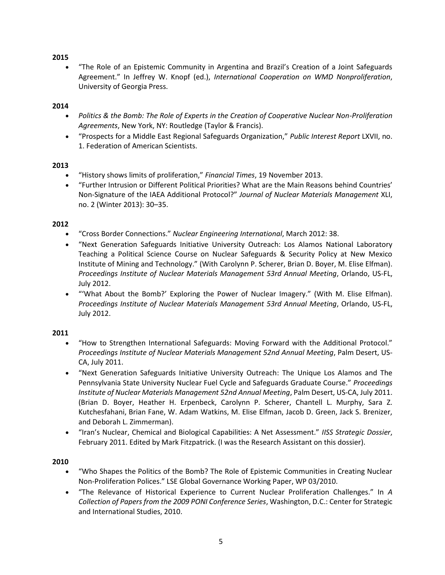## **2015**

• "The Role of an Epistemic Community in Argentina and Brazil's Creation of a Joint Safeguards Agreement." In Jeffrey W. Knopf (ed.), *International Cooperation on WMD Nonproliferation*, University of Georgia Press.

# **2014**

- *Politics & the Bomb: The Role of Experts in the Creation of Cooperative Nuclear Non-Proliferation Agreements*, New York, NY: Routledge (Taylor & Francis).
- "Prospects for a Middle East Regional Safeguards Organization," *Public Interest Report* LXVII, no. 1. Federation of American Scientists.

### **2013**

- "History shows limits of proliferation," *Financial Times*, 19 November 2013.
- "Further Intrusion or Different Political Priorities? What are the Main Reasons behind Countries' Non-Signature of the IAEA Additional Protocol?" *Journal of Nuclear Materials Management* XLI, no. 2 (Winter 2013): 30–35.

### **2012**

- "Cross Border Connections." *Nuclear Engineering International*, March 2012: 38.
- "Next Generation Safeguards Initiative University Outreach: Los Alamos National Laboratory Teaching a Political Science Course on Nuclear Safeguards & Security Policy at New Mexico Institute of Mining and Technology." (With Carolynn P. Scherer, Brian D. Boyer, M. Elise Elfman). *Proceedings Institute of Nuclear Materials Management 53rd Annual Meeting*, Orlando, US-FL, July 2012.
- "'What About the Bomb?' Exploring the Power of Nuclear Imagery." (With M. Elise Elfman). *Proceedings Institute of Nuclear Materials Management 53rd Annual Meeting*, Orlando, US-FL, July 2012.

### **2011**

- "How to Strengthen International Safeguards: Moving Forward with the Additional Protocol." *Proceedings Institute of Nuclear Materials Management 52nd Annual Meeting*, Palm Desert, US-CA, July 2011.
- "Next Generation Safeguards Initiative University Outreach: The Unique Los Alamos and The Pennsylvania State University Nuclear Fuel Cycle and Safeguards Graduate Course." *Proceedings Institute of Nuclear Materials Management 52nd Annual Meeting*, Palm Desert, US-CA, July 2011. (Brian D. Boyer, Heather H. Erpenbeck, Carolynn P. Scherer, Chantell L. Murphy, Sara Z. Kutchesfahani, Brian Fane, W. Adam Watkins, M. Elise Elfman, Jacob D. Green, Jack S. Brenizer, and Deborah L. Zimmerman).
- "Iran's Nuclear, Chemical and Biological Capabilities: A Net Assessment." *IISS Strategic Dossier*, February 2011. Edited by Mark Fitzpatrick. (I was the Research Assistant on this dossier).

### **2010**

- "Who Shapes the Politics of the Bomb? The Role of Epistemic Communities in Creating Nuclear Non-Proliferation Polices." LSE Global Governance Working Paper, WP 03/2010.
- "The Relevance of Historical Experience to Current Nuclear Proliferation Challenges." In *A Collection of Papers from the 2009 PONI Conference Series*, Washington, D.C.: Center for Strategic and International Studies, 2010.